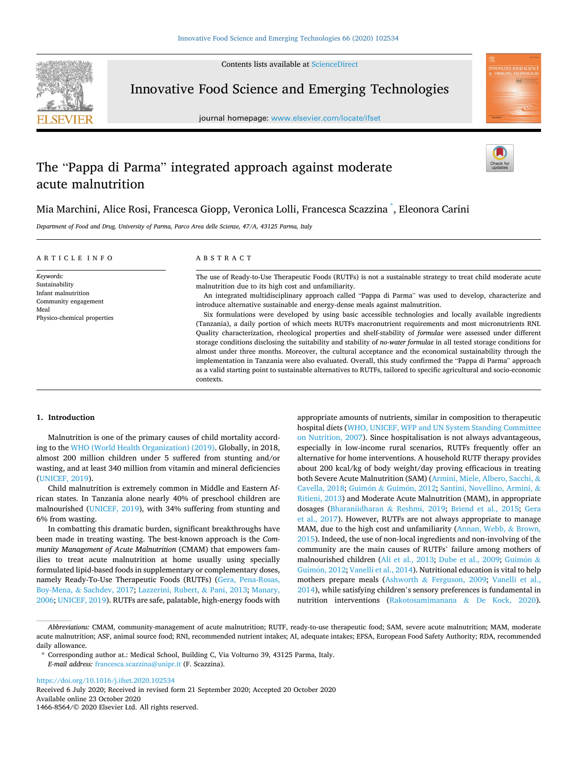Contents lists available at [ScienceDirect](www.sciencedirect.com/science/journal/14668564)



Innovative Food Science and Emerging Technologies

journal homepage: [www.elsevier.com/locate/ifset](https://www.elsevier.com/locate/ifset)



# The "Pappa di Parma" integrated approach against moderate acute malnutrition

Mia Marchini, Alice Rosi, Francesca Giopp, Veronica Lolli, Francesca Scazzina <sup>\*</sup>, Eleonora Carini

*Department of Food and Drug, University of Parma, Parco Area delle Scienze, 47/A, 43125 Parma, Italy* 

| ARTICLE INFO |
|--------------|
|--------------|

Physico-chemical properties

*Keywords:*  Sustainability Infant malnutrition Community engagement

Meal

### ABSTRACT

The use of Ready-to-Use Therapeutic Foods (RUTFs) is not a sustainable strategy to treat child moderate acute malnutrition due to its high cost and unfamiliarity.

An integrated multidisciplinary approach called "Pappa di Parma" was used to develop, characterize and introduce alternative sustainable and energy-dense meals against malnutrition.

Six formulations were developed by using basic accessible technologies and locally available ingredients (Tanzania), a daily portion of which meets RUTFs macronutrient requirements and most micronutrients RNI. Quality characterization, rheological properties and shelf-stability of *formulae* were assessed under different storage conditions disclosing the suitability and stability of *no-water formulae* in all tested storage conditions for almost under three months. Moreover, the cultural acceptance and the economical sustainability through the implementation in Tanzania were also evaluated. Overall, this study confirmed the "Pappa di Parma" approach as a valid starting point to sustainable alternatives to RUTFs, tailored to specific agricultural and socio-economic contexts.

### **1. Introduction**

Malnutrition is one of the primary causes of child mortality according to the [WHO \(World Health Organization\) \(2019\)](#page-9-0). Globally, in 2018, almost 200 million children under 5 suffered from stunting and/or wasting, and at least 340 million from vitamin and mineral deficiencies ([UNICEF, 2019](#page-9-0)).

Child malnutrition is extremely common in Middle and Eastern African states. In Tanzania alone nearly 40% of preschool children are malnourished [\(UNICEF, 2019](#page-9-0)), with 34% suffering from stunting and 6% from wasting.

In combatting this dramatic burden, significant breakthroughs have been made in treating wasting. The best-known approach is the *Community Management of Acute Malnutrition* (CMAM) that empowers families to treat acute malnutrition at home usually using specially formulated lipid-based foods in supplementary or complementary doses, namely Ready-To-Use Therapeutic Foods (RUTFs) ([Gera, Pena-Rosas,](#page-8-0)  Boy-Mena, & [Sachdev, 2017](#page-8-0); [Lazzerini, Rubert,](#page-9-0) & Pani, 2013; [Manary,](#page-9-0)  [2006; UNICEF, 2019](#page-9-0)). RUTFs are safe, palatable, high-energy foods with appropriate amounts of nutrients, similar in composition to therapeutic hospital diets [\(WHO, UNICEF, WFP and UN System Standing Committee](#page-9-0)  [on Nutrition, 2007\)](#page-9-0). Since hospitalisation is not always advantageous, especially in low-income rural scenarios, RUTFs frequently offer an alternative for home interventions. A household RUTF therapy provides about 200 kcal/kg of body weight/day proving efficacious in treating both Severe Acute Malnutrition (SAM) [\(Armini, Miele, Albero, Sacchi,](#page-8-0) & [Cavella, 2018](#page-8-0); Guimón & Guimón, 2012; [Santini, Novellino, Armini,](#page-9-0) & [Ritieni, 2013\)](#page-9-0) and Moderate Acute Malnutrition (MAM), in appropriate dosages ([Bharaniidharan](#page-8-0) & Reshmi, 2019; [Briend et al., 2015](#page-8-0); [Gera](#page-8-0)  [et al., 2017](#page-8-0)). However, RUTFs are not always appropriate to manage MAM, due to the high cost and unfamiliarity [\(Annan, Webb,](#page-8-0) & Brown, [2015\)](#page-8-0). Indeed, the use of non-local ingredients and non-involving of the community are the main causes of RUTFs' failure among mothers of malnourished children ([Ali et al., 2013](#page-8-0); [Dube et al., 2009](#page-8-0); Guimón  $\&$ Guimón, 2012; [Vanelli et al., 2014\)](#page-9-0). Nutritional education is vital to help mothers prepare meals (Ashworth & [Ferguson, 2009](#page-8-0); [Vanelli et al.,](#page-9-0)  [2014\)](#page-9-0), while satisfying children's sensory preferences is fundamental in nutrition interventions ([Rakotosamimanana](#page-9-0) & De Kock, 2020).

Available online 23 October 2020 1466-8564/© 2020 Elsevier Ltd. All rights reserved. Received 6 July 2020; Received in revised form 21 September 2020; Accepted 20 October 2020

*Abbreviations:* CMAM, community-management of acute malnutrition; RUTF, ready-to-use therapeutic food; SAM, severe acute malnutrition; MAM, moderate acute malnutrition; ASF, animal source food; RNI, recommended nutrient intakes; AI, adequate intakes; EFSA, European Food Safety Authority; RDA, recommended daily allowance.

<sup>\*</sup> Corresponding author at.: Medical School, Building C, Via Volturno 39, 43125 Parma, Italy. *E-mail address:* [francesca.scazzina@unipr.it](mailto:francesca.scazzina@unipr.it) (F. Scazzina).

<https://doi.org/10.1016/j.ifset.2020.102534>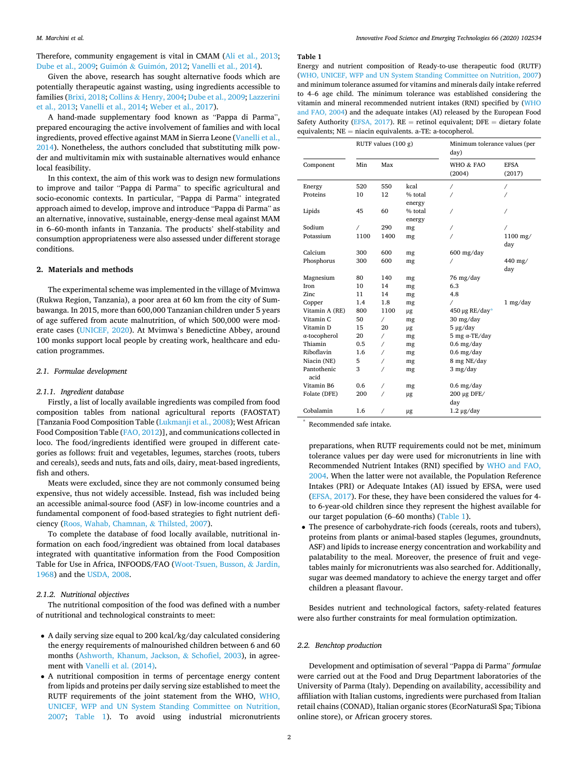Therefore, community engagement is vital in CMAM [\(Ali et al., 2013](#page-8-0); Dube et al., 2009, Guimón & Guimón, 2012; [Vanelli et al., 2014](#page-9-0)).

Given the above, research has sought alternative foods which are potentially therapeutic against wasting, using ingredients accessible to families [\(Brixi, 2018;](#page-8-0) Collins & [Henry, 2004; Dube et al., 2009;](#page-8-0) [Lazzerini](#page-9-0)  [et al., 2013; Vanelli et al., 2014](#page-9-0); [Weber et al., 2017](#page-9-0)).

A hand-made supplementary food known as "Pappa di Parma", prepared encouraging the active involvement of families and with local ingredients, proved effective against MAM in Sierra Leone ([Vanelli et al.,](#page-9-0)  [2014\)](#page-9-0). Nonetheless, the authors concluded that substituting milk powder and multivitamin mix with sustainable alternatives would enhance local feasibility.

In this context, the aim of this work was to design new formulations to improve and tailor "Pappa di Parma" to specific agricultural and socio-economic contexts. In particular, "Pappa di Parma" integrated approach aimed to develop, improve and introduce "Pappa di Parma" as an alternative, innovative, sustainable, energy-dense meal against MAM in 6–60-month infants in Tanzania. The products' shelf-stability and consumption appropriateness were also assessed under different storage conditions.

## **2. Materials and methods**

The experimental scheme was implemented in the village of Mvimwa (Rukwa Region, Tanzania), a poor area at 60 km from the city of Sumbawanga. In 2015, more than 600,000 Tanzanian children under 5 years of age suffered from acute malnutrition, of which 500,000 were moderate cases [\(UNICEF, 2020](#page-9-0)). At Mvimwa's Benedictine Abbey, around 100 monks support local people by creating work, healthcare and education programmes.

## *2.1. Formulae development*

### *2.1.1. Ingredient database*

Firstly, a list of locally available ingredients was compiled from food composition tables from national agricultural reports (FAOSTAT) [Tanzania Food Composition Table ([Lukmanji et al., 2008](#page-9-0)); West African Food Composition Table ([FAO, 2012](#page-8-0))], and communications collected in loco. The food/ingredients identified were grouped in different categories as follows: fruit and vegetables, legumes, starches (roots, tubers and cereals), seeds and nuts, fats and oils, dairy, meat-based ingredients, fish and others.

Meats were excluded, since they are not commonly consumed being expensive, thus not widely accessible. Instead, fish was included being an accessible animal-source food (ASF) in low-income countries and a fundamental component of food-based strategies to fight nutrient deficiency [\(Roos, Wahab, Chamnan,](#page-9-0) & Thilsted, 2007).

To complete the database of food locally available, nutritional information on each food/ingredient was obtained from local databases integrated with quantitative information from the Food Composition Table for Use in Africa, INFOODS/FAO ([Woot-Tsuen, Busson,](#page-9-0) & Jardin, [1968\)](#page-9-0) and the [USDA, 2008](#page-9-0).

### *2.1.2. Nutritional objectives*

The nutritional composition of the food was defined with a number of nutritional and technological constraints to meet:

- A daily serving size equal to 200 kcal/kg/day calculated considering the energy requirements of malnourished children between 6 and 60 months ([Ashworth, Khanum, Jackson,](#page-8-0) & Schofiel, 2003), in agreement with [Vanelli et al. \(2014\)](#page-9-0).
- A nutritional composition in terms of percentage energy content from lipids and proteins per daily serving size established to meet the RUTF requirements of the joint statement from the WHO, [WHO,](#page-9-0)  [UNICEF, WFP and UN System Standing Committee on Nutrition,](#page-9-0)  [2007](#page-9-0); Table 1). To avoid using industrial micronutrients

#### **Table 1**

Energy and nutrient composition of Ready-to-use therapeutic food (RUTF) [\(WHO, UNICEF, WFP and UN System Standing Committee on Nutrition, 2007\)](#page-9-0) and minimum tolerance assumed for vitamins and minerals daily intake referred to 4–6 age child. The minimum tolerance was established considering the vitamin and mineral recommended nutrient intakes (RNI) specified by [\(WHO](#page-9-0)  [and FAO, 2004](#page-9-0)) and the adequate intakes (AI) released by the European Food Safety Authority ([EFSA, 2017](#page-8-0)). RE = retinol equivalent; DFE = dietary folate equivalents; NE = niacin equivalents. a-TE: a-tocopherol.

|                      | RUTF values $(100 g)$ |      |         | Minimum tolerance values (per<br>day) |                       |
|----------------------|-----------------------|------|---------|---------------------------------------|-----------------------|
| Component            | Min                   | Max  |         | WHO & FAO<br>(2004)                   | <b>EFSA</b><br>(2017) |
| Energy               | 520                   | 550  | kcal    | 7                                     | $\prime$              |
| Proteins             | 10                    | 12   | % total |                                       |                       |
|                      |                       |      | energy  |                                       |                       |
| Lipids               | 45                    | 60   | % total |                                       |                       |
|                      |                       |      | energy  |                                       |                       |
| Sodium               | $\sqrt{2}$            | 290  | mg      | Τ                                     |                       |
| Potassium            | 1100                  | 1400 | mg      |                                       | 1100 mg/              |
| Calcium              | 300                   | 600  |         | $600$ mg/day                          | day                   |
| Phosphorus           | 300                   | 600  | mg      | Ϊ                                     | 440 mg/               |
|                      |                       |      | mg      |                                       | day                   |
| Magnesium            | 80                    | 140  | mg      | 76 mg/day                             |                       |
| Iron                 | 10                    | 14   | mg      | 6.3                                   |                       |
| Zinc                 | 11                    | 14   | mg      | 4.8                                   |                       |
| Copper               | 1.4                   | 1.8  | mg      | $\prime$                              | 1 mg/day              |
| Vitamin A (RE)       | 800                   | 1100 | μg      | 450 µg RE/day*                        |                       |
| Vitamin <sub>C</sub> | 50                    | 7    | mg      | $30 \frac{\text{mg}}{\text{day}}$     |                       |
| Vitamin D            | 15                    | 20   | μg      | $5 \mu g/day$                         |                       |
| $\alpha$ -tocopherol | 20                    | 7    | mg      | $5$ mg $\alpha$ -TE/day               |                       |
| Thiamin              | 0.5                   | Γ    | mg      | $0.6$ mg/day                          |                       |
| Riboflavin           | 1.6                   | Ϊ    | mg      | $0.6$ mg/day                          |                       |
| Niacin (NE)          | 5                     |      | mg      | 8 mg NE/day                           |                       |
| Pantothenic<br>acid  | 3                     |      | mg      | 3 mg/day                              |                       |
| Vitamin B6           | 0.6                   | Τ    | mg      | $0.6$ mg/day                          |                       |
| Folate (DFE)         | 200                   | 7    | μg      | $200 \mu g$ DFE/                      |                       |
|                      |                       |      |         | day                                   |                       |
| Cobalamin            | 1.6                   | 7    | μg      | $1.2 \mu$ g/day                       |                       |

Recommended safe intake.

preparations, when RUTF requirements could not be met, minimum tolerance values per day were used for micronutrients in line with Recommended Nutrient Intakes (RNI) specified by [WHO and FAO,](#page-9-0)  [2004](#page-9-0). When the latter were not available, the Population Reference Intakes (PRI) or Adequate Intakes (AI) issued by EFSA, were used ([EFSA, 2017](#page-8-0)). For these, they have been considered the values for 4 to 6-year-old children since they represent the highest available for our target population (6–60 months) (Table 1).

• The presence of carbohydrate-rich foods (cereals, roots and tubers), proteins from plants or animal-based staples (legumes, groundnuts, ASF) and lipids to increase energy concentration and workability and palatability to the meal. Moreover, the presence of fruit and vegetables mainly for micronutrients was also searched for. Additionally, sugar was deemed mandatory to achieve the energy target and offer children a pleasant flavour.

Besides nutrient and technological factors, safety-related features were also further constraints for meal formulation optimization.

### *2.2. Benchtop production*

Development and optimisation of several "Pappa di Parma" *formulae*  were carried out at the Food and Drug Department laboratories of the University of Parma (Italy). Depending on availability, accessibility and affiliation with Italian customs, ingredients were purchased from Italian retail chains (CONAD), Italian organic stores (EcorNaturaSì Spa; Tibiona online store), or African grocery stores.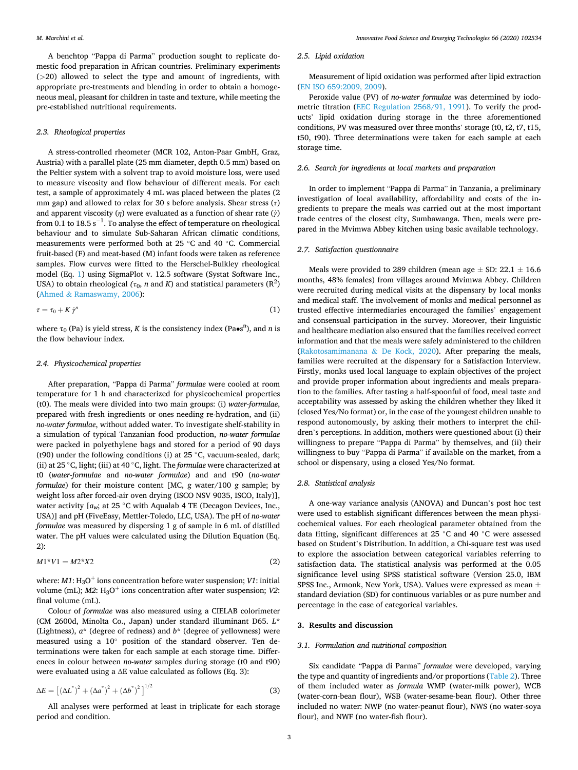A benchtop "Pappa di Parma" production sought to replicate domestic food preparation in African countries. Preliminary experiments (*>*20) allowed to select the type and amount of ingredients, with appropriate pre-treatments and blending in order to obtain a homogeneous meal, pleasant for children in taste and texture, while meeting the pre-established nutritional requirements.

### *2.3. Rheological properties*

A stress-controlled rheometer (MCR 102, Anton-Paar GmbH, Graz, Austria) with a parallel plate (25 mm diameter, depth 0.5 mm) based on the Peltier system with a solvent trap to avoid moisture loss, were used to measure viscosity and flow behaviour of different meals. For each test, a sample of approximately 4 mL was placed between the plates (2 mm gap) and allowed to relax for 30 s before analysis. Shear stress (*τ*) and apparent viscosity (*η*) were evaluated as a function of shear rate (*γ*˙) from 0.1 to  $18.5 \text{ s}^{-1}$ . To analyse the effect of temperature on rheological behaviour and to simulate Sub-Saharan African climatic conditions, measurements were performed both at 25 ◦C and 40 ◦C. Commercial fruit-based (F) and meat-based (M) infant foods were taken as reference samples. Flow curves were fitted to the Herschel-Bulkley rheological model (Eq. 1) using SigmaPlot v. 12.5 software (Systat Software Inc., USA) to obtain rheological  $(\tau_0, n \text{ and } K)$  and statistical parameters  $(\mathbb{R}^2)$ (Ahmed & [Ramaswamy, 2006\)](#page-8-0):

$$
\tau = \tau_0 + K \dot{\gamma}^n \tag{1}
$$

where τ<sub>0</sub> (Pa) is yield stress, *K* is the consistency index (Pa•s<sup>n</sup>), and *n* is the flow behaviour index.

### *2.4. Physicochemical properties*

After preparation, "Pappa di Parma" *formulae* were cooled at room temperature for 1 h and characterized for physicochemical properties (t0). The meals were divided into two main groups: (i) *water-formulae*, prepared with fresh ingredients or ones needing re-hydration, and (ii) *no-water formulae*, without added water. To investigate shelf-stability in a simulation of typical Tanzanian food production, *no-water formulae*  were packed in polyethylene bags and stored for a period of 90 days (t90) under the following conditions (i) at 25  $\degree$ C, vacuum-sealed, dark; (ii) at 25 ◦C, light; (iii) at 40 ◦C, light. The *formulae* were characterized at t0 (*water-formulae* and *no-water formulae*) and and t90 (*no-water formulae*) for their moisture content [MC, g water/100 g sample; by weight loss after forced-air oven drying (ISCO NSV 9035, ISCO, Italy)], water activity  $[a_w]$ ; at 25 °C with Aqualab 4 TE (Decagon Devices, Inc., USA)] and pH (FiveEasy, Mettler-Toledo, LLC, USA). The pH of *no-water formulae* was measured by dispersing 1 g of sample in 6 mL of distilled water. The pH values were calculated using the Dilution Equation (Eq. 2):

$$
M1^*V1 = M2^*X2 \tag{2}
$$

where:  $M1: H<sub>3</sub>O<sup>+</sup>$  ions concentration before water suspension; *V1*: initial volume (mL);  $M2$ :  $H_3O^+$  ions concentration after water suspension; *V2*: final volume (mL).

Colour of *formulae* was also measured using a CIELAB colorimeter (CM 2600d, Minolta Co., Japan) under standard illuminant D65. *L*\* (Lightness), *a*\* (degree of redness) and *b*\* (degree of yellowness) were measured using a 10◦ position of the standard observer. Ten determinations were taken for each sample at each storage time. Differences in colour between *no-water* samples during storage (t0 and t90) were evaluated using a ∆E value calculated as follows (Eq. 3):

$$
\Delta E = \left[ (\Delta L^*)^2 + (\Delta a^*)^2 + (\Delta b^*)^2 \right]^{1/2}
$$
 (3)

All analyses were performed at least in triplicate for each storage period and condition.

# *2.5. Lipid oxidation*

Measurement of lipid oxidation was performed after lipid extraction ([EN ISO 659:2009, 2009\)](#page-8-0).

Peroxide value (PV) of *no-water formulae* was determined by iodometric titration [\(EEC Regulation 2568/91, 1991](#page-8-0)). To verify the products' lipid oxidation during storage in the three aforementioned conditions, PV was measured over three months' storage (t0, t2, t7, t15, t50, t90). Three determinations were taken for each sample at each storage time.

# *2.6. Search for ingredients at local markets and preparation*

In order to implement "Pappa di Parma" in Tanzania, a preliminary investigation of local availability, affordability and costs of the ingredients to prepare the meals was carried out at the most important trade centres of the closest city, Sumbawanga. Then, meals were prepared in the Mvimwa Abbey kitchen using basic available technology.

### *2.7. Satisfaction questionnaire*

Meals were provided to 289 children (mean age  $\pm$  SD: 22.1  $\pm$  16.6 months, 48% females) from villages around Mvimwa Abbey. Children were recruited during medical visits at the dispensary by local monks and medical staff. The involvement of monks and medical personnel as trusted effective intermediaries encouraged the families' engagement and consensual participation in the survey. Moreover, their linguistic and healthcare mediation also ensured that the families received correct information and that the meals were safely administered to the children ([Rakotosamimanana](#page-9-0) & De Kock, 2020). After preparing the meals, families were recruited at the dispensary for a Satisfaction Interview. Firstly, monks used local language to explain objectives of the project and provide proper information about ingredients and meals preparation to the families. After tasting a half-spoonful of food, meal taste and acceptability was assessed by asking the children whether they liked it (closed Yes/No format) or, in the case of the youngest children unable to respond autonomously, by asking their mothers to interpret the children's perceptions. In addition, mothers were questioned about (i) their willingness to prepare "Pappa di Parma" by themselves, and (ii) their willingness to buy "Pappa di Parma" if available on the market, from a school or dispensary, using a closed Yes/No format.

## *2.8. Statistical analysis*

A one-way variance analysis (ANOVA) and Duncan's post hoc test were used to establish significant differences between the mean physicochemical values. For each rheological parameter obtained from the data fitting, significant differences at 25 ◦C and 40 ◦C were assessed based on Student's Distribution. In addition, a Chi-square test was used to explore the association between categorical variables referring to satisfaction data. The statistical analysis was performed at the 0.05 significance level using SPSS statistical software (Version 25.0, IBM SPSS Inc., Armonk, New York, USA). Values were expressed as mean ± standard deviation (SD) for continuous variables or as pure number and percentage in the case of categorical variables.

### **3. Results and discussion**

### *3.1. Formulation and nutritional composition*

Six candidate "Pappa di Parma" *formulae* were developed, varying the type and quantity of ingredients and/or proportions ([Table 2](#page-3-0)). Three of them included water as *formula* WMP (water-milk power), WCB (water-corn-bean flour), WSB (water-sesame-bean flour). Other three included no water: NWP (no water-peanut flour), NWS (no water-soya flour), and NWF (no water-fish flour).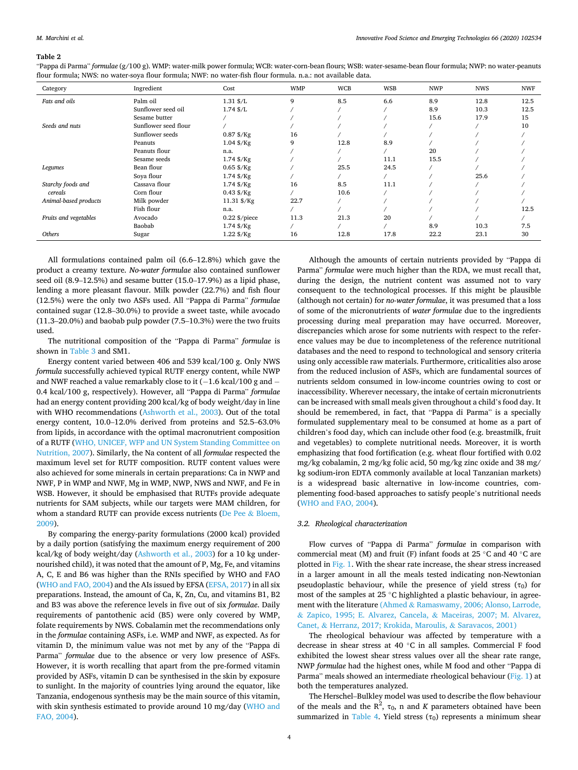<span id="page-3-0"></span>"Pappa di Parma" *formulae* (g/100 g). WMP: water-milk power formula; WCB: water-corn-bean flours; WSB: water-sesame-bean flour formula; NWP: no water-peanuts flour formula; NWS: no water-soya flour formula; NWF: no water-fish flour formula. n.a.: not available data.

| Category              | Ingredient           | Cost                        | <b>WMP</b> | <b>WCB</b> | <b>WSB</b> | <b>NWP</b> | <b>NWS</b> | <b>NWF</b> |
|-----------------------|----------------------|-----------------------------|------------|------------|------------|------------|------------|------------|
| Fats and oils         | Palm oil             | $1.31 \text{ } \frac{5}{L}$ | q          | 8.5        | 6.6        | 8.9        | 12.8       | 12.5       |
|                       | Sunflower seed oil   | $1.74$ \$ $/L$              |            |            |            | 8.9        | 10.3       | 12.5       |
|                       | Sesame butter        |                             |            |            |            | 15.6       | 17.9       | 15         |
| Seeds and nuts        | Sunflower seed flour |                             |            |            |            |            |            | 10         |
|                       | Sunflower seeds      | $0.87$ \$/Kg                | 16         |            |            |            |            |            |
|                       | Peanuts              | $1.04$ \$/Kg                | 9          | 12.8       | 8.9        |            |            |            |
|                       | Peanuts flour        | n.a.                        |            |            |            | 20         |            |            |
|                       | Sesame seeds         | $1.74$ \$/Kg                |            |            | 11.1       | 15.5       |            |            |
| Legumes               | Bean flour           | $0.65$ \$/Kg                |            | 25.5       | 24.5       |            |            |            |
|                       | Soya flour           | $1.74$ \$/Kg                |            |            |            |            | 25.6       |            |
| Starchy foods and     | Cassava flour        | $1.74$ \$/Kg                | 16         | 8.5        | 11.1       |            |            |            |
| cereals               | Corn flour           | $0.43$ \$/Kg                |            | 10.6       |            |            |            |            |
| Animal-based products | Milk powder          | $11.31$ \$/Kg               | 22.7       |            |            |            |            |            |
|                       | Fish flour           | n.a.                        |            |            |            |            |            | 12.5       |
| Fruits and vegetables | Avocado              | $0.22$ \$/piece             | 11.3       | 21.3       | 20         |            |            |            |
|                       | Baobab               | $1.74$ \$/Kg                |            |            |            | 8.9        | 10.3       | 7.5        |
| Others                | Sugar                | $1.22$ \$/Kg                | 16         | 12.8       | 17.8       | 22.2       | 23.1       | 30         |

All formulations contained palm oil (6.6–12.8%) which gave the product a creamy texture. *No-water formulae* also contained sunflower seed oil (8.9–12.5%) and sesame butter (15.0–17.9%) as a lipid phase, lending a more pleasant flavour. Milk powder (22.7%) and fish flour (12.5%) were the only two ASFs used. All "Pappa di Parma" *formulae*  contained sugar (12.8–30.0%) to provide a sweet taste, while avocado (11.3–20.0%) and baobab pulp powder (7.5–10.3%) were the two fruits used.

The nutritional composition of the "Pappa di Parma" *formulae* is shown in [Table 3](#page-4-0) and SM1.

Energy content varied between 406 and 539 kcal/100 g. Only NWS *formula* successfully achieved typical RUTF energy content, while NWP and NWF reached a value remarkably close to it (-1.6 kcal/100 g and -0.4 kcal/100 g, respectively). However, all "Pappa di Parma" *formulae*  had an energy content providing 200 kcal/kg of body weight/day in line with WHO recommendations ([Ashworth et al., 2003\)](#page-8-0). Out of the total energy content, 10.0–12.0% derived from proteins and 52.5–63.0% from lipids, in accordance with the optimal macronutrient composition of a RUTF [\(WHO, UNICEF, WFP and UN System Standing Committee on](#page-9-0)  [Nutrition, 2007](#page-9-0)). Similarly, the Na content of all *formulae* respected the maximum level set for RUTF composition. RUTF content values were also achieved for some minerals in certain preparations: Ca in NWP and NWF, P in WMP and NWF, Mg in WMP, NWP, NWS and NWF, and Fe in WSB. However, it should be emphasised that RUTFs provide adequate nutrients for SAM subjects, while our targets were MAM children, for whom a standard RUTF can provide excess nutrients ([De Pee](#page-8-0) & Bloem, [2009\)](#page-8-0).

By comparing the energy-parity formulations (2000 kcal) provided by a daily portion (satisfying the maximum energy requirement of 200 kcal/kg of body weight/day [\(Ashworth et al., 2003\)](#page-8-0) for a 10 kg undernourished child), it was noted that the amount of P, Mg, Fe, and vitamins A, C, E and B6 was higher than the RNIs specified by WHO and FAO ([WHO and FAO, 2004](#page-9-0)) and the AIs issued by EFSA [\(EFSA, 2017](#page-8-0)) in all six preparations. Instead, the amount of Ca, K, Zn, Cu, and vitamins B1, B2 and B3 was above the reference levels in five out of six *formulae*. Daily requirements of pantothenic acid (B5) were only covered by WMP, folate requirements by NWS. Cobalamin met the recommendations only in the *formulae* containing ASFs, i.e. WMP and NWF, as expected. As for vitamin D, the minimum value was not met by any of the "Pappa di Parma" *formulae* due to the absence or very low presence of ASFs. However, it is worth recalling that apart from the pre-formed vitamin provided by ASFs, vitamin D can be synthesised in the skin by exposure to sunlight. In the majority of countries lying around the equator, like Tanzania, endogenous synthesis may be the main source of this vitamin, with skin synthesis estimated to provide around 10 mg/day [\(WHO and](#page-9-0)  [FAO, 2004\)](#page-9-0).

Although the amounts of certain nutrients provided by "Pappa di Parma" *formulae* were much higher than the RDA, we must recall that, during the design, the nutrient content was assumed not to vary consequent to the technological processes. If this might be plausible (although not certain) for *no-water formulae*, it was presumed that a loss of some of the micronutrients of *water formulae* due to the ingredients processing during meal preparation may have occurred. Moreover, discrepancies which arose for some nutrients with respect to the reference values may be due to incompleteness of the reference nutritional databases and the need to respond to technological and sensory criteria using only accessible raw materials. Furthermore, criticalities also arose from the reduced inclusion of ASFs, which are fundamental sources of nutrients seldom consumed in low-income countries owing to cost or inaccessibility. Wherever necessary, the intake of certain micronutrients can be increased with small meals given throughout a child's food day. It should be remembered, in fact, that "Pappa di Parma" is a specially formulated supplementary meal to be consumed at home as a part of children's food day, which can include other food (e.g. breastmilk, fruit and vegetables) to complete nutritional needs. Moreover, it is worth emphasizing that food fortification (e.g. wheat flour fortified with 0.02 mg/kg cobalamin, 2 mg/kg folic acid, 50 mg/kg zinc oxide and 38 mg/ kg sodium‑iron EDTA commonly available at local Tanzanian markets) is a widespread basic alternative in low-income countries, complementing food-based approaches to satisfy people's nutritional needs ([WHO and FAO, 2004\)](#page-9-0).

# *3.2. Rheological characterization*

Flow curves of "Pappa di Parma" *formulae* in comparison with commercial meat (M) and fruit (F) infant foods at 25  $\degree$ C and 40  $\degree$ C are plotted in [Fig. 1](#page-5-0). With the shear rate increase, the shear stress increased in a larger amount in all the meals tested indicating non-Newtonian pseudoplastic behaviour, while the presence of yield stress  $(\tau_0)$  for most of the samples at 25 ◦C highlighted a plastic behaviour, in agreement with the literature (Ahmed & [Ramaswamy, 2006; Alonso, Larrode,](#page-8-0)  & [Zapico, 1995; E. Alvarez, Cancela,](#page-8-0) & Maceiras, 2007; M. Alvarez, Canet, & [Herranz, 2017; Krokida, Maroulis,](#page-8-0) & Saravacos, 2001)

The rheological behaviour was affected by temperature with a decrease in shear stress at 40 ◦C in all samples. Commercial F food exhibited the lowest shear stress values over all the shear rate range, NWP *formulae* had the highest ones, while M food and other "Pappa di Parma" meals showed an intermediate rheological behaviour [\(Fig. 1\)](#page-5-0) at both the temperatures analyzed.

The Herschel–Bulkley model was used to describe the flow behaviour of the meals and the  $R^2$ ,  $\tau_0$ , n and *K* parameters obtained have been summarized in [Table 4.](#page-5-0) Yield stress  $(\tau_0)$  represents a minimum shear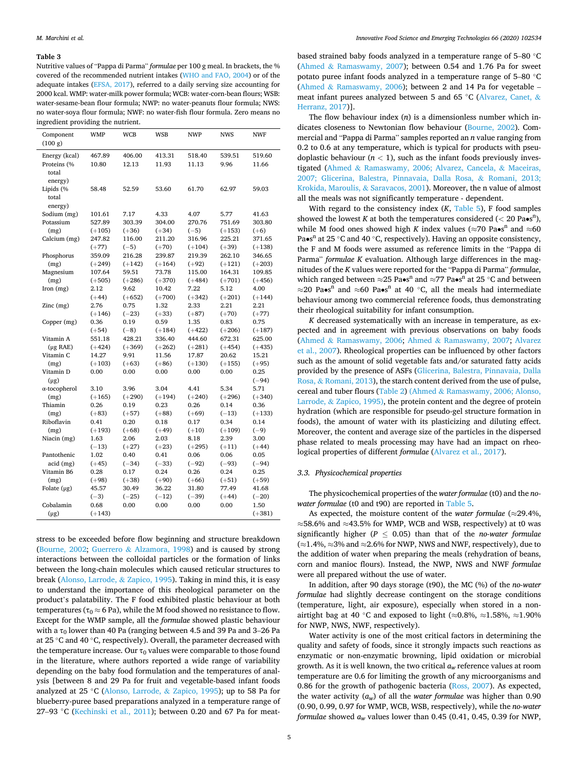<span id="page-4-0"></span>Nutritive values of "Pappa di Parma" *formulae* per 100 g meal. In brackets, the % covered of the recommended nutrient intakes [\(WHO and FAO, 2004](#page-9-0)) or of the adequate intakes ([EFSA, 2017](#page-8-0)), referred to a daily serving size accounting for 2000 kcal. WMP: water-milk power formula; WCB: water-corn-bean flours; WSB: water-sesame-bean flour formula; NWP: no water-peanuts flour formula; NWS: no water-soya flour formula; NWF: no water-fish flour formula. Zero means no ingredient providing the nutrient.

| Component<br>(100 g)    | WMP            | <b>WCB</b>      | WSB             | <b>NWP</b>      | <b>NWS</b>      | NWF      |
|-------------------------|----------------|-----------------|-----------------|-----------------|-----------------|----------|
| Energy (kcal)           | 467.89         | 406.00          | 413.31          | 518.40          | 539.51          | 519.60   |
| Proteins (%             | 10.80          | 12.13           | 11.93           | 11.13           | 9.96            | 11.66    |
| total                   |                |                 |                 |                 |                 |          |
| energy)                 |                |                 |                 |                 |                 |          |
| Lipids (%               | 58.48          | 52.59           | 53.60           | 61.70           | 62.97           | 59.03    |
| total                   |                |                 |                 |                 |                 |          |
| energy)                 |                |                 |                 |                 |                 |          |
| Sodium (mg)             | 101.61         | 7.17            | 4.33            | 4.07            | 5.77            | 41.63    |
| Potassium               | 527.89         | 303.39          | 304.00          | 270.76          | 751.69          | 303.80   |
| (mg)                    | $(+105)$       | $(+36)$         | $(+34)$         | $(-5)$          | $(+153)$        | $(+6)$   |
| Calcium (mg)            | 247.82         | 116.00          | 211.20          | 316.96          | 225.21          | 371.65   |
|                         | $(+77)$        | $(-5)$          | $(+70)$         | $(+104)$        | $(+39)$         | $(+138)$ |
| Phosphorus              | 359.09         | 216.28          | 239.87          | 219.39          | 262.10          | 346.65   |
| (mg)                    | $(+249)$       | $(+142)$        | $(+164)$        | $(+92)$         | $(+121)$        | $(+203)$ |
| Magnesium               | 107.64         | 59.51           | 73.78           | 115.00          | 164.31          | 109.85   |
| (mg)                    | $(+505)$       | $(+286)$        | $(+370)$        | $(+484)$        | $(+701)$        | $(+456)$ |
| Iron $(mg)$             | 2.12           | 9.62            | 10.42           | 7.22            | 5.12            | 4.00     |
|                         | $(+44)$        | $(+652)$        | $(+700)$        | $(+342)$        | $(+201)$        | $(+144)$ |
| Zinc(mg)                | 2.76           | 0.75            | 1.32            | 2.33            | 2.21            | 2.21     |
|                         | $(+146)$       | $(-23)$         | $(+33)$         | $(+87)$         | $(+70)$         | $(+77)$  |
| Copper (mg)             | 0.36           | 0.19            | 0.59            | 1.35            | 0.83            | 0.75     |
|                         | $(+54)$        | $(-8)$          | $(+184)$        | $(+422)$        | $(+206)$        | $(+187)$ |
| Vitamin A               | 551.18         | 428.21          | 336.40          | 444.60          | 672.31          | 625.00   |
| $(\mu g \text{ RAE})$   | $(+424)$       | $(+369)$        | $(+262)$        | $(+281)$        | $(+454)$        | $(+435)$ |
| Vitamin C               | 14.27          | 9.91            | 11.56           | 17.87           | 20.62           | 15.21    |
| (mg)                    | $(+103)$       | $(+63)$         | $(+86)$         | $(+130)$        | $(+155)$        | $(+95)$  |
| Vitamin D               | 0.00           | 0.00            | 0.00            | 0.00            | 0.00            | 0.25     |
| $(\mu g)$               |                |                 |                 |                 |                 | $(-94)$  |
| $\alpha$ -tocopherol    | 3.10           | 3.96            | 3.04            | 4.41            | 5.34            | 5.71     |
| (mg)                    | $(+165)$       | $(+290)$        | $(+194)$        | $(+240)$        | $(+296)$        | $(+340)$ |
| Thiamin                 | 0.26           | 0.19            | 0.23            | 0.26            | 0.14            | 0.36     |
| (mg)                    | $(+83)$        | $(+57)$         | $(+88)$         | $(+69)$         | $(-13)$         | $(+133)$ |
| Riboflavin              | 0.41           | 0.20            | 0.18            | 0.17            | 0.34            | 0.14     |
| (mg)                    | $(+193)$       | $(+68)$         | $(+49)$         | $(+10)$         | $(+109)$        | $(-9)$   |
| Niacin (mg)             | 1.63           | 2.06            | 2.03            | 8.18            | 2.39            | 3.00     |
| Pantothenic             | $(-13)$        | $(+27)$         | $(+23)$         | $(+295)$        | $(+11)$         | $(+44)$  |
|                         | 1.02           | 0.40            | 0.41            | 0.06            | 0.06            | 0.05     |
| acid (mg)<br>Vitamin B6 | $(+45)$        | $(-34)$         | $(-33)$         | $(-92)$         | $(-93)$         | $(-94)$  |
|                         | 0.28           | 0.17            | 0.24            | 0.26            | 0.24            | 0.25     |
| (mg)                    | $(+98)$        | $(+38)$         | $(+90)$         | $(+66)$         | $(+51)$         | $(+59)$  |
| Folate $(\mu g)$        | 45.57          | 30.49           | 36.22           | 31.80           | 77.49           | 41.68    |
| Cobalamin               | $(-3)$<br>0.68 | $(-25)$<br>0.00 | $(-12)$<br>0.00 | $(-39)$<br>0.00 | $(+44)$<br>0.00 | $(-20)$  |
|                         |                |                 |                 |                 |                 | 1.50     |
| $(\mu g)$               | $(+143)$       |                 |                 |                 |                 | $(+381)$ |

stress to be exceeded before flow beginning and structure breakdown ([Bourne, 2002](#page-8-0); Guerrero & [Alzamora, 1998](#page-8-0)) and is caused by strong interactions between the colloidal particles or the formation of links between the long-chain molecules which caused reticular structures to break ([Alonso, Larrode,](#page-8-0) & Zapico, 1995). Taking in mind this, it is easy to understand the importance of this rheological parameter on the product's palatability. The F food exhibited plastic behaviour at both temperatures ( $\tau_0 \approx 6$  Pa), while the M food showed no resistance to flow. Except for the WMP sample, all the *formulae* showed plastic behaviour with a  $\tau_0$  lower than 40 Pa (ranging between 4.5 and 39 Pa and 3–26 Pa at 25 ◦C and 40 ◦C, respectively). Overall, the parameter decreased with the temperature increase. Our  $\tau_0$  values were comparable to those found in the literature, where authors reported a wide range of variability depending on the baby food formulation and the temperatures of analysis [between 8 and 29 Pa for fruit and vegetable-based infant foods analyzed at 25 ◦C ([Alonso, Larrode,](#page-8-0) & Zapico, 1995); up to 58 Pa for blueberry-puree based preparations analyzed in a temperature range of 27–93  $°C$  ([Kechinski et al., 2011\)](#page-8-0); between 0.20 and 67 Pa for meatbased strained baby foods analyzed in a temperature range of 5–80 ◦C (Ahmed & [Ramaswamy, 2007\)](#page-8-0); between 0.54 and 1.76 Pa for sweet potato puree infant foods analyzed in a temperature range of 5–80 ◦C (Ahmed & [Ramaswamy, 2006\)](#page-8-0); between 2 and 14 Pa for vegetable  $$ meat infant purees analyzed between 5 and 65 ◦C [\(Alvarez, Canet,](#page-8-0) & [Herranz, 2017\)](#page-8-0)].

The flow behaviour index (*n*) is a dimensionless number which indicates closeness to Newtonian flow behaviour ([Bourne, 2002\)](#page-8-0). Commercial and "Pappa di Parma" samples reported an *n* value ranging from 0.2 to 0.6 at any temperature, which is typical for products with pseudoplastic behaviour  $(n < 1)$ , such as the infant foods previously investigated (Ahmed & [Ramaswamy, 2006; Alvarez, Cancela,](#page-8-0) & Maceiras, [2007; Glicerina, Balestra, Pinnavaia, Dalla Rosa,](#page-8-0) & Romani, 2013; [Krokida, Maroulis,](#page-8-0) & Saravacos, 2001). Moreover, the n value of almost all the meals was not significantly temperature - dependent.

With regard to the consistency index (*K*, [Table 5](#page-6-0)), F food samples showed the lowest *K* at both the temperatures considered ( $\lt$  20 Pa $\bullet$ s<sup>n</sup>), while M food ones showed high *K* index values ( $\approx$ 70 Pa•s<sup>n</sup> and  $\approx$ 60 Pa•s<sup>n</sup> at 25 °C and 40 °C, respectively). Having an opposite consistency, the F and M foods were assumed as reference limits in the "Pappa di Parma" *formulae K* evaluation. Although large differences in the magnitudes of the *K* values were reported for the "Pappa di Parma" *formulae*, which ranged between  ${\approx}25$   $\text{Pa}\bullet\text{s}^\text{n}$  and  ${\approx}77$   $\text{Pa}\bullet\text{s}^\text{n}$  at 25  $^\circ\text{C}$  and between  $\approx$ 20 Pa•s<sup>n</sup> and  $\approx$ 60 Pa•s<sup>n</sup> at 40 °C, all the meals had intermediate behaviour among two commercial reference foods, thus demonstrating their rheological suitability for infant consumption.

*K* decreased systematically with an increase in temperature, as expected and in agreement with previous observations on baby foods (Ahmed & [Ramaswamy, 2006;](#page-8-0) Ahmed & [Ramaswamy, 2007;](#page-8-0) [Alvarez](#page-8-0)  [et al., 2007\)](#page-8-0). Rheological properties can be influenced by other factors such as the amount of solid vegetable fats and/or saturated fatty acids provided by the presence of ASFs [\(Glicerina, Balestra, Pinnavaia, Dalla](#page-8-0)  Rosa, & [Romani, 2013](#page-8-0)), the starch content derived from the use of pulse, cereal and tuber flours ([Table 2\)](#page-3-0) (Ahmed & [Ramaswamy, 2006; Alonso,](#page-8-0)  Larrode, & [Zapico, 1995\)](#page-8-0), the protein content and the degree of protein hydration (which are responsible for pseudo-gel structure formation in foods), the amount of water with its plasticizing and diluting effect. Moreover, the content and average size of the particles in the dispersed phase related to meals processing may have had an impact on rheological properties of different *formulae* [\(Alvarez et al., 2017\)](#page-8-0).

# *3.3. Physicochemical properties*

The physicochemical properties of the *water formulae* (t0) and the *nowater formulae* (t0 and t90) are reported in [Table 5](#page-6-0).

As expected, the moisture content of the *water formulae*  $(\approx 29.4\%$ , ≈58.6% and ≈43.5% for WMP, WCB and WSB, respectively) at t0 was significantly higher ( $P \leq 0.05$ ) than that of the *no-water formulae*  $\approx 1.4\%$ ,  $\approx 3\%$  and  $\approx 2.6\%$  for NWP, NWS and NWF, respectively), due to the addition of water when preparing the meals (rehydration of beans, corn and manioc flours). Instead, the NWP, NWS and NWF *formulae*  were all prepared without the use of water.

In addition, after 90 days storage (t90), the MC (%) of the *no-water formulae* had slightly decrease contingent on the storage conditions (temperature, light, air exposure), especially when stored in a nonairtight bag at 40 °C and exposed to light ( $\approx$ 0.8%,  $\approx$ 1.58%,  $\approx$ 1.90% for NWP, NWS, NWF, respectively).

Water activity is one of the most critical factors in determining the quality and safety of foods, since it strongly impacts such reactions as enzymatic or non-enzymatic browning, lipid oxidation or microbial growth. As it is well known, the two critical *aw* reference values at room temperature are 0.6 for limiting the growth of any microorganisms and 0.86 for the growth of pathogenic bacteria ([Ross, 2007\)](#page-9-0). As expected, the water activity (*aw*) of all the *water formulae* was higher than 0.90 (0.90, 0.99, 0.97 for WMP, WCB, WSB, respectively), while the *no-water formulae* showed  $a_w$  values lower than 0.45 (0.41, 0.45, 0.39 for NWP,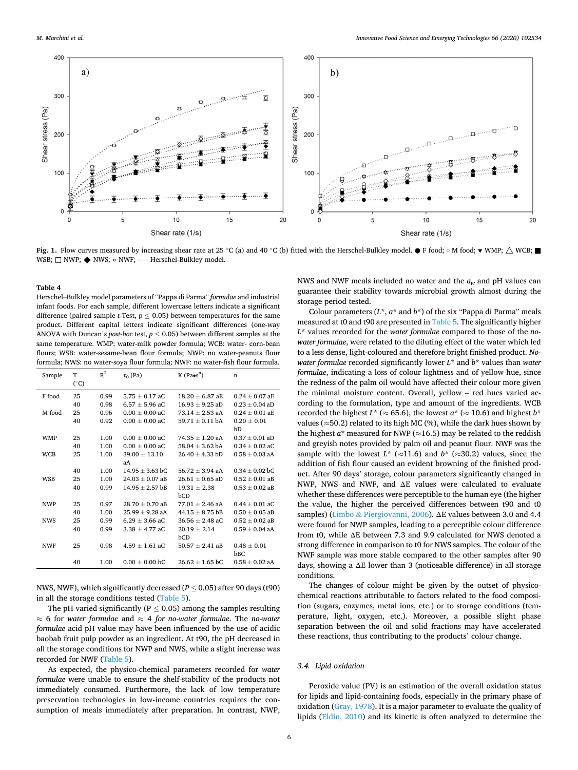<span id="page-5-0"></span>

**Fig. 1.** Flow curves measured by increasing shear rate at 25 °C (a) and 40 °C (b) fitted with the Herschel-Bulkley model. ● F food; ○ M food; ▼ WMP;  $\triangle$  WCB; WSB: □ NWP: ◆ NWS: ◇ NWF: ····· Herschel-Bulkley model.

Herschel–Bulkley model parameters of "Pappa di Parma" *formulae* and industrial infant foods. For each sample, different lowercase letters indicate a significant difference (paired sample  $t$ -Test,  $p \leq 0.05$ ) between temperatures for the same product. Different capital letters indicate significant differences (one-way ANOVA with Duncan's *post-hoc* test,  $p \leq 0.05$ ) between different samples at the same temperature. WMP: water-milk powder formula; WCB: water- corn-bean flours; WSB: water-sesame-bean flour formula; NWP: no water-peanuts flour formula; NWS: no water-soya flour formula; NWF: no water-fish flour formula.

| Sample     | T            | $R^2$ | $\tau_0$ (Pa)       | $K$ (Pa $\bullet$ s <sup>n</sup> ) | n                            |  |
|------------|--------------|-------|---------------------|------------------------------------|------------------------------|--|
|            | $(^\circ C)$ |       |                     |                                    |                              |  |
| F food     | 25           | 0.99  | $5.75 + 0.17$ aC    | $18.20 + 6.87$ aE                  | $0.24 + 0.07$ a <sub>E</sub> |  |
|            | 40           | 0.98  | $6.57 + 5.96$ aC    | $16.93 + 9.25$ aD                  | $0.23 + 0.04$ aD             |  |
| M food     | 25           | 0.96  | $0.00 \pm 0.00$ aC  | $73.14 \pm 2.53$ aA                | $0.24 \pm 0.01$ aE           |  |
|            | 40           | 0.92  | $0.00 + 0.00$ aC    | $59.71 + 0.11$ bA                  | $0.20 + 0.01$                |  |
|            |              |       |                     |                                    | bD                           |  |
| <b>WMP</b> | 25           | 1.00  | $0.00 + 0.00$ aC    | $74.35 + 1.20$ aA                  | $0.37 + 0.01$ aD             |  |
|            | 40           | 1.00  | $0.00 + 0.00$ aC    | $58.04 + 3.62$ bA                  | $0.34 + 0.02$ aC             |  |
| <b>WCB</b> | 25           | 1.00  | $39.00 \pm 13.10$   | $26.40 \pm 4.33$ bD                | $0.58 \pm 0.03$ aA           |  |
|            |              |       | aА                  |                                    |                              |  |
|            | 40           | 1.00  | $14.95 + 3.63$ bC   | $56.72 + 3.94$ aA                  | $0.34 + 0.02$ bC             |  |
| <b>WSB</b> | 25           | 1.00  | $24.03 + 0.07$ aB   | $26.61 + 0.65$ aD                  | $0.52 \pm 0.01$ aB           |  |
|            | 40           | 0.99  | $14.95 \pm 2.57$ bB | $19.31 \pm 2.38$                   | $0.53 \pm 0.02$ aB           |  |
|            |              |       |                     | bCD                                |                              |  |
| <b>NWP</b> | 25           | 0.97  | $28.70 + 0.70$ aB   | $77.01 + 2.46$ aA                  | $0.44 + 0.01$ aC             |  |
|            | 40           | 1.00  | $25.99 + 9.28$ aA   | $44.15 \pm 8.75$ bB                | $0.50 + 0.05$ aB             |  |
| <b>NWS</b> | 25           | 0.99  | $6.29 + 3.66$ aC    | $36.56 + 2.48$ aC                  | $0.52 + 0.02$ aB             |  |
|            | 40           | 0.99  | $3.38 + 4.77$ aC    | $20.19 \pm 2.14$                   | $0.59 \pm 0.04$ aA           |  |
|            |              |       |                     | bCD                                |                              |  |
| <b>NWF</b> | 25           | 0.98  | $4.59 + 1.61$ aC    | $50.57 + 2.41$ aB                  | $0.48 \pm 0.01$              |  |
|            |              |       |                     |                                    | bBC                          |  |
|            | 40           | 1.00  | $0.00 \pm 0.00$ bC  | $26.62 \pm 1.65$ bC                | $0.58 \pm 0.02$ aA           |  |

NWS, NWF), which significantly decreased (*P* ≤ 0.05) after 90 days (t90) in all the storage conditions tested ([Table 5](#page-6-0)).

The pH varied significantly ( $P < 0.05$ ) among the samples resulting ≈ 6 for *water formulae* and ≈ 4 *for no-water formulae*. The *no-water formulae* acid pH value may have been influenced by the use of acidic baobab fruit pulp powder as an ingredient. At t90, the pH decreased in all the storage conditions for NWP and NWS, while a slight increase was recorded for NWF [\(Table 5\)](#page-6-0).

As expected, the physico-chemical parameters recorded for *water formulae* were unable to ensure the shelf-stability of the products not immediately consumed. Furthermore, the lack of low temperature preservation technologies in low-income countries requires the consumption of meals immediately after preparation. In contrast, NWP,

NWS and NWF meals included no water and the *aw* and pH values can guarantee their stability towards microbial growth almost during the storage period tested.

Colour parameters (*L*\*, *a*\* and *b*\*) of the six "Pappa di Parma" meals measured at t0 and t90 are presented in [Table 5.](#page-6-0) The significantly higher *L*\* values recorded for the *water formulae* compared to those of the *nowater formulae*, were related to the diluting effect of the water which led to a less dense, light-coloured and therefore bright finished product. *Nowater formulae* recorded significantly lower *L*\* and *b*\* values than *water formulae*, indicating a loss of colour lightness and of yellow hue, since the redness of the palm oil would have affected their colour more given the minimal moisture content. Overall, yellow – red hues varied according to the formulation, type and amount of the ingredients. WCB recorded the highest  $L^* \approx 65.6$ , the lowest  $a^* \approx 10.6$ ) and highest  $b^*$ values ( $\approx$ 50.2) related to its high MC (%), while the dark hues shown by the highest  $a^*$  measured for NWP ( $\approx$ 16.5) may be related to the reddish and greyish notes provided by palm oil and peanut flour. NWF was the sample with the lowest  $L^*$  ( $\approx$ 11.6) and  $b^*$  ( $\approx$ 30.2) values, since the addition of fish flour caused an evident browning of the finished product. After 90 days' storage, colour parameters significantly changed in NWP, NWS and NWF, and ΔE values were calculated to evaluate whether these differences were perceptible to the human eye (the higher the value, the higher the perceived differences between t90 and t0 samples) (Limbo & [Piergiovanni, 2006](#page-9-0)). ΔE values between 3.0 and 4.4 were found for NWP samples, leading to a perceptible colour difference from t0, while ΔE between 7.3 and 9.9 calculated for NWS denoted a strong difference in comparison to t0 for NWS samples. The colour of the NWF sample was more stable compared to the other samples after 90 days, showing a ΔE lower than 3 (noticeable difference) in all storage conditions.

The changes of colour might be given by the outset of physicochemical reactions attributable to factors related to the food composition (sugars, enzymes, metal ions, etc.) or to storage conditions (temperature, light, oxygen, etc.). Moreover, a possible slight phase separation between the oil and solid fractions may have accelerated these reactions, thus contributing to the products' colour change.

# *3.4. Lipid oxidation*

Peroxide value (PV) is an estimation of the overall oxidation status for lipids and lipid-containing foods, especially in the primary phase of oxidation ([Gray, 1978\)](#page-8-0). It is a major parameter to evaluate the quality of lipids ([Eldin, 2010](#page-8-0)) and its kinetic is often analyzed to determine the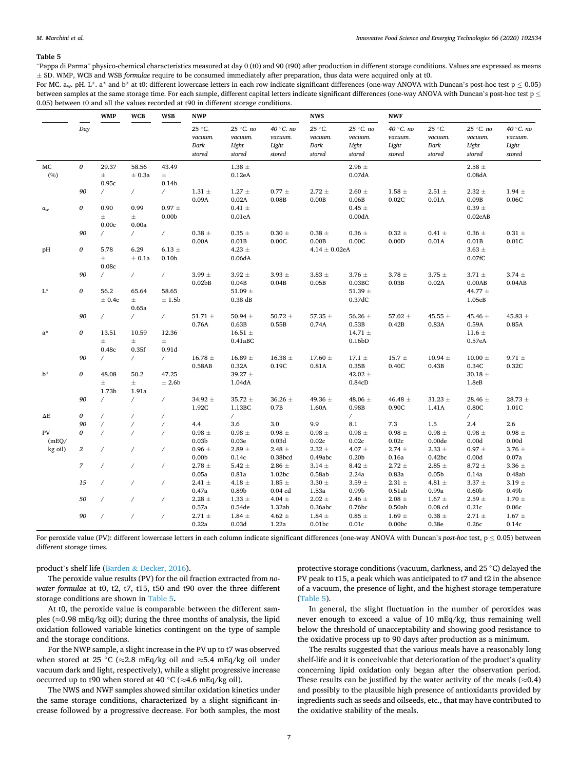<span id="page-6-0"></span>"Pappa di Parma" physico-chemical characteristics measured at day 0 (t0) and 90 (t90) after production in different storage conditions. Values are expressed as means ± SD. WMP, WCB and WSB *formulae* require to be consumed immediately after preparation, thus data were acquired only at t0.

For MC.  $a_w$ . pH. L\*. a\* and b\* at t0: different lowercase letters in each row indicate significant differences (one-way ANOVA with Duncan's post-hoc test p < 0.05) between samples at the same storage time. For each sample, different capital letters indicate significant differences (one-way ANOVA with Duncan's post-hoc test  $p \le$ 0.05) between t0 and all the values recorded at t90 in different storage conditions.

|                            |                             | <b>WSB</b><br><b>WCB</b><br><b>NWP</b><br><b>WMP</b> |                            |                                     | <b>NWS</b>                                    |                                        | <b>NWF</b>                             |                                         |                                               |                                         |                                     |                                        |                                         |
|----------------------------|-----------------------------|------------------------------------------------------|----------------------------|-------------------------------------|-----------------------------------------------|----------------------------------------|----------------------------------------|-----------------------------------------|-----------------------------------------------|-----------------------------------------|-------------------------------------|----------------------------------------|-----------------------------------------|
|                            | Day                         |                                                      |                            |                                     | $25\,^{\circ}$ C.<br>уасшт.<br>Dark<br>stored | 25 °C. no<br>уасшт.<br>Light<br>stored | 40 °C. no<br>уасшт.<br>Light<br>stored | 25 °C.<br>уасшит.<br>Dark<br>stored     | 25 °C. no<br>уасшит.<br>Light<br>stored       | 40 °C. no<br>уасшит.<br>Light<br>stored | 25 °C.<br>уасшит.<br>Dark<br>stored | 25 °C. no<br>уасшт.<br>Light<br>stored | 40 °C. no<br>уасшит.<br>Light<br>stored |
| MC<br>(%)                  | 0                           | 29.37<br>$\pm$<br>0.95c                              | 58.56<br>± 0.3a            | 43.49<br>$\pm$<br>0.14 <sub>b</sub> |                                               | 1.38 $\pm$<br>0.12eA                   |                                        |                                         | 2.96 $\pm$<br>0.07dA                          |                                         |                                     | 2.58 $\pm$<br>0.08dA                   |                                         |
|                            | 90                          | $\prime$                                             | $\sqrt{2}$                 | $\sqrt{2}$                          | 1.31 $\pm$<br>0.09A                           | $1.27 \pm$<br>0.02A                    | $0.77$ $\pm$<br>0.08B                  | $2.72 \pm$<br>0.00B                     | $2.60 \pm$<br>0.06B                           | $1.58 \pm$<br>0.02C                     | 2.51 $\pm$<br>0.01A                 | $2.32$ $\pm$<br>0.09B                  | $1.94 \pm$<br>0.06C                     |
| $a_{\scriptscriptstyle W}$ | 0                           | 0.90<br>$\pm$<br>0.00c                               | 0.99<br>$\pm$<br>0.00a     | $0.97 \pm$<br>0.00 <sub>b</sub>     |                                               | $0.41 \pm$<br>0.01eA                   |                                        |                                         | $0.45 \pm$<br>0.00dA                          |                                         |                                     | $0.39$ $\pm$<br>0.02eAB                |                                         |
|                            | 90                          | $\overline{ }$                                       | $\sqrt{2}$                 | $\sqrt{2}$                          | $0.38$ $\pm$<br>0.00A                         | $0.35 \pm$<br>0.01B                    | $0.30~\pm$<br>0.00C                    | $0.38$ $\pm$<br>0.00B                   | $0.36 \pm$<br>0.00C                           | $0.32 \pm$<br>0.00D                     | $0.41 \pm$<br>0.01A                 | $0.36 \pm$<br>$0.01\mathrm{B}$         | $0.31 \pm$<br>0.01C                     |
| pH                         | 0                           | 5.78<br>$\pm$<br>0.08c                               | 6.29<br>± 0.1a             | $6.13 \ \pm$<br>0.10 <sub>b</sub>   |                                               | 4.23 $\pm$<br>0.06dA                   |                                        | $4.14\pm0.02$ eA                        |                                               |                                         |                                     | 3.63 $\pm$<br>0.07 fC                  |                                         |
|                            | 90                          | $\prime$                                             | $\sqrt{2}$                 | $\sqrt{2}$                          | $3.99 \pm$<br>0.02 <sub>b</sub> B             | $3.92 \pm$<br>0.04B                    | $3.93 \pm$<br>0.04B                    | 3.83 $\pm$<br>0.05B                     | $3.76 \pm$<br>0.03BC                          | 3.78 $\pm$<br>0.03B                     | 3.75 $\pm$<br>0.02A                 | 3.71 $\pm$<br>0.00AB                   | $3.74 \pm$<br>0.04AB                    |
| $\mathbf{L}^{\star}$       | 0                           | 56.2<br>± 0.4c                                       | 65.64<br>$\pm$<br>0.65a    | 58.65<br>± 1.5b                     |                                               | 51.09 $\pm$<br>$0.38$ dB               |                                        |                                         | 51.39 $\pm$<br>0.37dC                         |                                         |                                     | 44.77 $\pm$<br>1.05eB                  |                                         |
|                            | 90                          | $\sqrt{2}$                                           | $\sqrt{2}$                 | $\sqrt{2}$                          | 51.71 $\pm$<br>0.76A                          | 50.94 $\pm$<br>0.63B                   | $50.72 \ \pm$<br>0.55B                 | 57.35 $\pm$<br>0.74A                    | 56.26 $\pm$<br>0.53B                          | 57.02 $\pm$<br>0.42B                    | 45.55 $\pm$<br>0.83A                | 45.46 $\pm$<br>0.59A                   | 45.83 $\pm$<br>0.85A                    |
| $a^*$                      | 0                           | 13.51<br>$\pm$<br>0.48c                              | 10.59<br>$\pm$<br>0.35f    | 12.36<br>$\pm$<br>0.91d             |                                               | 16.51 $\pm$<br>0.41aBC                 |                                        |                                         | $14.71 \pm$<br>0.16 <sub>bD</sub>             |                                         |                                     | 11.6 $\pm$<br>0.57eA                   |                                         |
|                            | 90                          | $\prime$                                             | $\sqrt{2}$                 | $\sqrt{2}$                          | 16.78 $\pm$<br>0.58AB                         | 16.89 $\pm$<br>0.32A                   | 16.38 $\pm$<br>0.19C                   | 17.60 $\pm$<br>0.81A                    | $17.1 \pm$<br>0.35B                           | 15.7 $\pm$<br>0.40C                     | $10.94 \pm$<br>0.43B                | $10.00 \pm$<br>0.34C                   | 9.71 $\pm$<br>0.32C                     |
| $b^*$                      | 0                           | 48.08<br>$\pm$<br>1.73b                              | 50.2<br>$\pm$<br>1.91a     | 47.25<br>± 2.6b                     |                                               | 39.27 $\pm$<br>1.04dA                  |                                        |                                         | 42.02 $\pm$<br>0.84cD                         |                                         |                                     | 30.18 $\pm$<br>1.8eB                   |                                         |
|                            | 90                          | $\prime$                                             | $\sqrt{2}$                 | $\sqrt{2}$                          | 34.92 $\pm$<br>1.92C                          | $35.72 \pm$<br>1.13BC                  | 36.26 $\pm$<br>0.7B                    | 49.36 $\pm$<br>1.60A                    | 48.06 $\pm$<br>0.98B                          | 46.48 $\pm$<br>0.90C                    | $31.23$ $\pm$<br>1.41A              | 28.46 $\pm$<br>0.80C                   | $28.73 \pm$<br>1.01C                    |
| $\Delta E$                 | 0                           | $\prime$                                             | $\overline{1}$             | $\prime$                            |                                               | $\sqrt{2}$                             |                                        |                                         | $\sqrt{2}$                                    |                                         |                                     | $\sqrt{2}$                             |                                         |
|                            | 90                          | $\prime$                                             | $\overline{1}$             | $\overline{1}$                      | 4.4                                           | 3.6                                    | 3.0                                    | 9.9                                     | 8.1                                           | 7.3                                     | 1.5                                 | 2.4                                    | 2.6                                     |
| PV<br>(mEQ/                | 0                           | $\overline{1}$                                       | $\prime$                   | $\overline{ }$                      | $0.98 \pm$<br>0.03 <sub>b</sub>               | $0.98 \pm$<br>0.03e                    | $0.98 \pm$<br>0.03d                    | $0.98 \pm$<br>0.02c                     | $0.98 \pm$<br>0.02c                           | $0.98 \pm$<br>0.02c                     | $0.98 \pm$<br>0.00de                | $0.98$ $\pm$<br>0.00d                  | $0.98 \pm$<br>0.00d                     |
| kg oil)                    | $\it 2$<br>$\boldsymbol{7}$ | $\overline{1}$<br>$\prime$                           | $\!\! /$<br>$\overline{ }$ | $\!\! /$<br>$\sqrt{2}$              | $0.96 \pm$<br>0.00 <sub>b</sub><br>2.78 $\pm$ | 2.89 $\pm$<br>0.14c<br>5.42 $\pm$      | 2.48 $\pm$<br>0.38bcd<br>2.86 $\pm$    | $2.32$ $\pm$<br>0.49abc<br>$3.14$ $\pm$ | 4.07 $\pm$<br>0.20 <sub>b</sub><br>8.42 $\pm$ | $2.74 \pm$<br>0.16a<br>$2.72 \pm$       | $2.33 \pm$<br>0.42bc<br>2.85 $\pm$  | $0.97$ $\pm$<br>0.00d<br>$8.72 \pm$    | $3.76 \pm$<br>0.07a<br>$3.36 \pm$       |
|                            | 15                          | $\prime$                                             | $\overline{1}$             | $\prime$                            | 0.05a<br>2.41 $\pm$                           | 0.81a<br>4.18 $\pm$                    | 1.02bc<br>1.85 $\pm$                   | 0.58ab<br>$3.30\,\pm\,$                 | 2.24a<br>3.59 $\pm$                           | 0.83a<br>2.31 $\pm$                     | 0.05 <sub>b</sub><br>4.81 $\pm$     | 0.14a<br>$3.37$ $\pm$                  | 0.48ab<br>$3.19 \pm$                    |
|                            | 50                          | $\prime$                                             | $\!\! /$                   | $\overline{1}$                      | 0.47a<br>2.28 $\pm$                           | 0.89b<br>$1.33$ $\pm$                  | $0.04$ cd<br>4.04 $\pm$                | 1.53a<br>$2.02~\pm$                     | 0.99 <sub>b</sub><br>2.46 $\pm$               | 0.51ab<br>2.08 $\pm$                    | 0.99a<br>$1.67 \pm$                 | 0.60 <sub>b</sub><br>$2.59$ $\pm$      | 0.49 <sub>b</sub><br>$1.70 \pm$         |
|                            | 90                          | $\prime$                                             | $\overline{1}$             | $\overline{ }$                      | 0.57a<br>2.71 $\pm$                           | 0.54de<br>$1.84 \pm$                   | 1.32ab<br>4.62 $\pm$                   | 0.36abc<br>1.84 $\pm$                   | 0.76bc<br>$0.85 \pm$                          | 0.50ab<br>1.69 $\pm$                    | $0.08$ cd<br>$0.38$ $\pm$           | 0.21c<br>2.71 $\pm$                    | 0.06c<br>$1.67 \pm$                     |
|                            |                             |                                                      |                            |                                     | 0.22a                                         | 0.03d                                  | 1.22a                                  | 0.01bc                                  | 0.01c                                         | 0.00 <sub>b</sub>                       | 0.38e                               | 0.26c                                  | 0.14c                                   |

For peroxide value (PV): different lowercase letters in each column indicate significant differences (one-way ANOVA with Duncan's *post-hoc* test, p ≤ 0.05) between different storage times.

# product's shelf life (Barden & [Decker, 2016\)](#page-8-0).

The peroxide value results (PV) for the oil fraction extracted from *nowater formulae* at t0, t2, t7, t15, t50 and t90 over the three different storage conditions are shown in Table 5**.** 

At t0, the peroxide value is comparable between the different samples ( $\approx$ 0.98 mEq/kg oil); during the three months of analysis, the lipid oxidation followed variable kinetics contingent on the type of sample and the storage conditions.

For the NWP sample, a slight increase in the PV up to t7 was observed when stored at 25 ◦C (≈2.8 mEq/kg oil and ≈5.4 mEq/kg oil under vacuum dark and light, respectively), while a slight progressive increase occurred up to t90 when stored at 40 °C ( $\approx$ 4.6 mEq/kg oil).

The NWS and NWF samples showed similar oxidation kinetics under the same storage conditions, characterized by a slight significant increase followed by a progressive decrease. For both samples, the most protective storage conditions (vacuum, darkness, and 25 ◦C) delayed the PV peak to t15, a peak which was anticipated to t7 and t2 in the absence of a vacuum, the presence of light, and the highest storage temperature (Table 5).

In general, the slight fluctuation in the number of peroxides was never enough to exceed a value of 10 mEq/kg, thus remaining well below the threshold of unacceptability and showing good resistance to the oxidative process up to 90 days after production as a minimum.

The results suggested that the various meals have a reasonably long shelf-life and it is conceivable that deterioration of the product's quality concerning lipid oxidation only began after the observation period. These results can be justified by the water activity of the meals ( $\approx 0.4$ ) and possibly to the plausible high presence of antioxidants provided by ingredients such as seeds and oilseeds, etc., that may have contributed to the oxidative stability of the meals.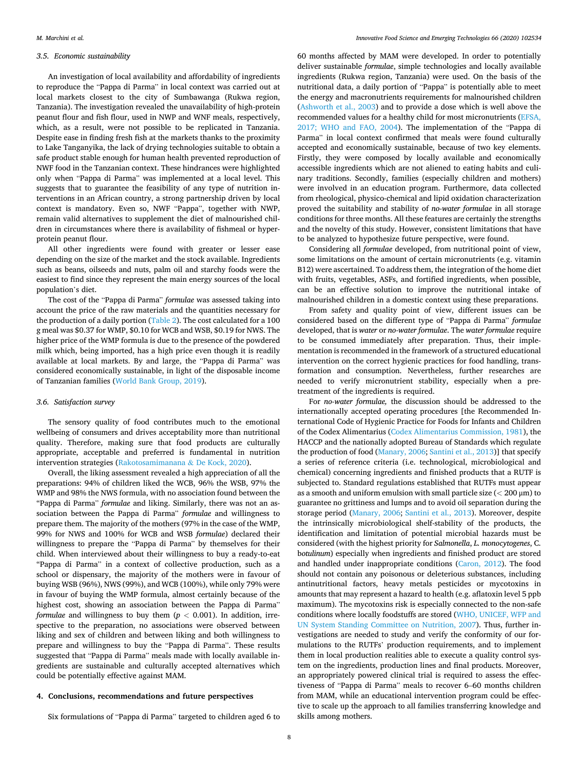# *3.5. Economic sustainability*

An investigation of local availability and affordability of ingredients to reproduce the "Pappa di Parma" in local context was carried out at local markets closest to the city of Sumbawanga (Rukwa region, Tanzania). The investigation revealed the unavailability of high-protein peanut flour and fish flour, used in NWP and WNF meals, respectively, which, as a result, were not possible to be replicated in Tanzania. Despite ease in finding fresh fish at the markets thanks to the proximity to Lake Tanganyika, the lack of drying technologies suitable to obtain a safe product stable enough for human health prevented reproduction of NWF food in the Tanzanian context. These hindrances were highlighted only when "Pappa di Parma" was implemented at a local level. This suggests that to guarantee the feasibility of any type of nutrition interventions in an African country, a strong partnership driven by local context is mandatory. Even so, NWF "Pappa", together with NWP, remain valid alternatives to supplement the diet of malnourished children in circumstances where there is availability of fishmeal or hyperprotein peanut flour.

All other ingredients were found with greater or lesser ease depending on the size of the market and the stock available. Ingredients such as beans, oilseeds and nuts, palm oil and starchy foods were the easiest to find since they represent the main energy sources of the local population's diet.

The cost of the "Pappa di Parma" *formulae* was assessed taking into account the price of the raw materials and the quantities necessary for the production of a daily portion ([Table 2\)](#page-3-0). The cost calculated for a 100 g meal was \$0.37 for WMP, \$0.10 for WCB and WSB, \$0.19 for NWS. The higher price of the WMP formula is due to the presence of the powdered milk which, being imported, has a high price even though it is readily available at local markets. By and large, the "Pappa di Parma" was considered economically sustainable, in light of the disposable income of Tanzanian families [\(World Bank Group, 2019\)](#page-9-0).

### *3.6. Satisfaction survey*

The sensory quality of food contributes much to the emotional wellbeing of consumers and drives acceptability more than nutritional quality. Therefore, making sure that food products are culturally appropriate, acceptable and preferred is fundamental in nutrition intervention strategies [\(Rakotosamimanana](#page-9-0) & De Kock, 2020).

Overall, the liking assessment revealed a high appreciation of all the preparations: 94% of children liked the WCB, 96% the WSB, 97% the WMP and 98% the NWS formula, with no association found between the "Pappa di Parma" *formulae* and liking. Similarly, there was not an association between the Pappa di Parma" *formulae* and willingness to prepare them. The majority of the mothers (97% in the case of the WMP, 99% for NWS and 100% for WCB and WSB *formulae*) declared their willingness to prepare the "Pappa di Parma" by themselves for their child. When interviewed about their willingness to buy a ready-to-eat "Pappa di Parma" in a context of collective production, such as a school or dispensary, the majority of the mothers were in favour of buying WSB (96%), NWS (99%), and WCB (100%), while only 79% were in favour of buying the WMP formula, almost certainly because of the highest cost, showing an association between the Pappa di Parma" *formulae* and willingness to buy them  $(p < 0.001)$ . In addition, irrespective to the preparation, no associations were observed between liking and sex of children and between liking and both willingness to prepare and willingness to buy the "Pappa di Parma". These results suggested that "Pappa di Parma" meals made with locally available ingredients are sustainable and culturally accepted alternatives which could be potentially effective against MAM.

### **4. Conclusions, recommendations and future perspectives**

Six formulations of "Pappa di Parma" targeted to children aged 6 to

60 months affected by MAM were developed. In order to potentially deliver sustainable *formulae*, simple technologies and locally available ingredients (Rukwa region, Tanzania) were used. On the basis of the nutritional data, a daily portion of "Pappa" is potentially able to meet the energy and macronutrients requirements for malnourished children ([Ashworth et al., 2003](#page-8-0)) and to provide a dose which is well above the recommended values for a healthy child for most micronutrients ([EFSA,](#page-8-0)  [2017; WHO and FAO, 2004](#page-8-0)). The implementation of the "Pappa di Parma" in local context confirmed that meals were found culturally accepted and economically sustainable, because of two key elements. Firstly, they were composed by locally available and economically accessible ingredients which are not aliened to eating habits and culinary traditions. Secondly, families (especially children and mothers) were involved in an education program. Furthermore, data collected from rheological, physico-chemical and lipid oxidation characterization proved the suitability and stability of *no-water formulae* in all storage conditions for three months. All these features are certainly the strengths and the novelty of this study. However, consistent limitations that have to be analyzed to hypothesize future perspective, were found.

Considering all *formulae* developed, from nutritional point of view, some limitations on the amount of certain micronutrients (e.g. vitamin B12) were ascertained. To address them, the integration of the home diet with fruits, vegetables, ASFs, and fortified ingredients, when possible, can be an effective solution to improve the nutritional intake of malnourished children in a domestic context using these preparations.

From safety and quality point of view, different issues can be considered based on the different type of "Pappa di Parma" *formulae*  developed, that is *water* or *no-water formulae*. The *water formulae* require to be consumed immediately after preparation. Thus, their implementation is recommended in the framework of a structured educational intervention on the correct hygienic practices for food handling, transformation and consumption. Nevertheless, further researches are needed to verify micronutrient stability, especially when a pretreatment of the ingredients is required.

For *no-water formulae,* the discussion should be addressed to the internationally accepted operating procedures [the Recommended International Code of Hygienic Practice for Foods for Infants and Children of the Codex Alimentarius ([Codex Alimentarius Commission, 1981](#page-8-0)), the HACCP and the nationally adopted Bureau of Standards which regulate the production of food ([Manary, 2006; Santini et al., 2013\)](#page-9-0)] that specify a series of reference criteria (i.e. technological, microbiological and chemical) concerning ingredients and finished products that a RUTF is subjected to. Standard regulations established that RUTFs must appear as a smooth and uniform emulsion with small particle size (*<* 200 μm) to guarantee no grittiness and lumps and to avoid oil separation during the storage period [\(Manary, 2006;](#page-9-0) [Santini et al., 2013\)](#page-9-0). Moreover, despite the intrinsically microbiological shelf-stability of the products, the identification and limitation of potential microbial hazards must be considered (with the highest priority for *Salmonella*, *L. monocytogenes*, C. b*otulinum*) especially when ingredients and finished product are stored and handled under inappropriate conditions [\(Caron, 2012\)](#page-8-0). The food should not contain any poisonous or deleterious substances, including antinutritional factors, heavy metals pesticides or mycotoxins in amounts that may represent a hazard to health (e.g. aflatoxin level 5 ppb maximum). The mycotoxins risk is especially connected to the non-safe conditions where locally foodstuffs are stored ([WHO, UNICEF, WFP and](#page-9-0)  [UN System Standing Committee on Nutrition, 2007\)](#page-9-0). Thus, further investigations are needed to study and verify the conformity of our formulations to the RUTFs' production requirements, and to implement them in local production realities able to execute a quality control system on the ingredients, production lines and final products. Moreover, an appropriately powered clinical trial is required to assess the effectiveness of "Pappa di Parma" meals to recover 6–60 months children from MAM, while an educational intervention program could be effective to scale up the approach to all families transferring knowledge and skills among mothers.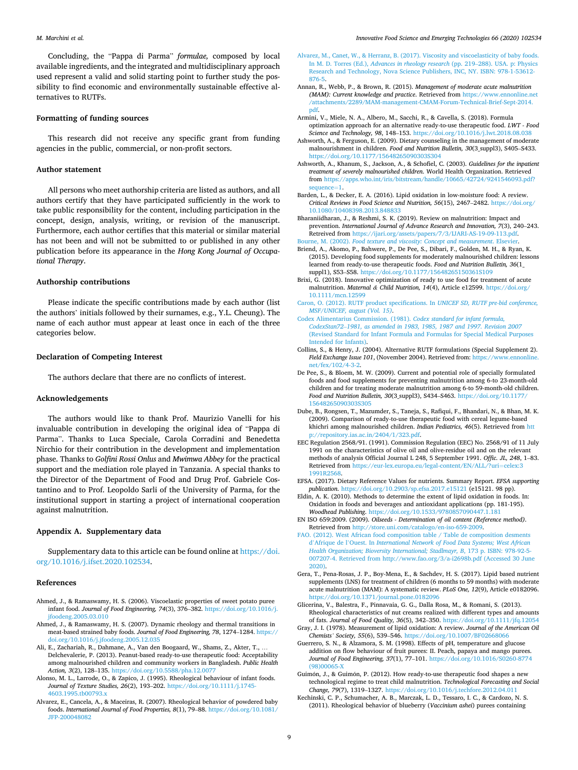<span id="page-8-0"></span>Concluding, the "Pappa di Parma" *formulae,* composed by local available ingredients, and the integrated and multidisciplinary approach used represent a valid and solid starting point to further study the possibility to find economic and environmentally sustainable effective alternatives to RUTFs.

## **Formatting of funding sources**

This research did not receive any specific grant from funding agencies in the public, commercial, or non-profit sectors.

### **Author statement**

All persons who meet authorship criteria are listed as authors, and all authors certify that they have participated sufficiently in the work to take public responsibility for the content, including participation in the concept, design, analysis, writing, or revision of the manuscript. Furthermore, each author certifies that this material or similar material has not been and will not be submitted to or published in any other publication before its appearance in the *Hong Kong Journal of Occupational Therapy*.

### **Authorship contributions**

Please indicate the specific contributions made by each author (list the authors' initials followed by their surnames, e.g., Y.L. Cheung). The name of each author must appear at least once in each of the three categories below.

### **Declaration of Competing Interest**

The authors declare that there are no conflicts of interest.

### **Acknowledgements**

The authors would like to thank Prof. Maurizio Vanelli for his invaluable contribution in developing the original idea of "Pappa di Parma". Thanks to Luca Speciale, Carola Corradini and Benedetta Nirchio for their contribution in the development and implementation phase. Thanks to *Golfini Rossi Onlus* and *Mwimwa Abbey* for the practical support and the mediation role played in Tanzania. A special thanks to the Director of the Department of Food and Drug Prof. Gabriele Costantino and to Prof. Leopoldo Sarli of the University of Parma, for the institutional support in starting a project of international cooperation against malnutrition.

### **Appendix A. Supplementary data**

Supplementary data to this article can be found online at [https://doi.](https://doi.org/10.1016/j.ifset.2020.102534)  [org/10.1016/j.ifset.2020.102534.](https://doi.org/10.1016/j.ifset.2020.102534)

### **References**

- Ahmed, J., & Ramaswamy, H. S. (2006). Viscoelastic properties of sweet potato puree infant food. *Journal of Food Engineering, 74*(3), 376–382. [https://doi.org/10.1016/j.](https://doi.org/10.1016/j.jfoodeng.2005.03.010)  [jfoodeng.2005.03.010](https://doi.org/10.1016/j.jfoodeng.2005.03.010)
- Ahmed, J., & Ramaswamy, H. S. (2007). Dynamic rheology and thermal transitions in meat-based strained baby foods. *Journal of Food Engineering, 78*, 1274–1284. [https://](https://doi.org/10.1016/j.jfoodeng.2005.12.035)  [doi.org/10.1016/j.jfoodeng.2005.12.035](https://doi.org/10.1016/j.jfoodeng.2005.12.035)
- Ali, E., Zachariah, R., Dahmane, A., Van den Boogaard, W., Shams, Z., Akter, T., … Delchevalerie, P. (2013). Peanut-based ready-to-use therapeutic food: Acceptability among malnourished children and community workers in Bangladesh. *Public Health Action, 3*(2), 128–135. <https://doi.org/10.5588/pha.12.0077>
- Alonso, M. L., Larrode, O., & Zapico, J. (1995). Rheological behaviour of infant foods. *Journal of Texture Studies, 26*(2), 193–202. [https://doi.org/10.1111/j.1745-](https://doi.org/10.1111/j.1745-4603.1995.tb00793.x) [4603.1995.tb00793.x](https://doi.org/10.1111/j.1745-4603.1995.tb00793.x)
- Alvarez, E., Cancela, A., & Maceiras, R. (2007). Rheological behavior of powdered baby foods. *International Journal of Food Properties, 8*(1), 79–88. [https://doi.org/10.1081/](https://doi.org/10.1081/JFP-200048082)  [JFP-200048082](https://doi.org/10.1081/JFP-200048082)
- [Alvarez, M., Canet, W., & Herranz, B. \(2017\). Viscosity and viscoelasticity of baby foods.](http://refhub.elsevier.com/S1466-8564(20)30480-X/rf0030)  In M. D. Torres (Ed.), *[Advances in rheology research](http://refhub.elsevier.com/S1466-8564(20)30480-X/rf0030)* (pp. 219–288). USA. p: Physics [Research and Technology, Nova Science Publishers, INC, NY. ISBN: 978-1-53612-](http://refhub.elsevier.com/S1466-8564(20)30480-X/rf0030) [876-5.](http://refhub.elsevier.com/S1466-8564(20)30480-X/rf0030)
- Annan, R., Webb, P., & Brown, R. (2015). *Management of moderate acute malnutrition (MAM): Current knowledge and practice*. Retrieved from [https://www.ennonline.net](https://www.ennonline.net/attachments/2289/MAM-management-CMAM-Forum-Technical-Brief-Sept-2014.pdf)  [/attachments/2289/MAM-management-CMAM-Forum-Technical-Brief-Sept-2014.](https://www.ennonline.net/attachments/2289/MAM-management-CMAM-Forum-Technical-Brief-Sept-2014.pdf)  [pdf.](https://www.ennonline.net/attachments/2289/MAM-management-CMAM-Forum-Technical-Brief-Sept-2014.pdf)
- Armini, V., Miele, N. A., Albero, M., Sacchi, R., & Cavella, S. (2018). Formula optimization approach for an alternative ready-to-use therapeutic food. *LWT - Food Science and Technology, 98*, 148–153. <https://doi.org/10.1016/j.lwt.2018.08.038>
- Ashworth, A., & Ferguson, E. (2009). Dietary counseling in the management of moderate malnourishment in children. *Food and Nutrition Bulletin, 30*(3\_suppl3), S405–S433. <https://doi.org/10.1177/15648265090303S304>
- Ashworth, A., Khanum, S., Jackson, A., & Schofiel, C. (2003). *Guidelines for the inpatient treatment of severely malnourished children*. World Health Organization. Retrieved from [https://apps.who.int/iris/bitstream/handle/10665/42724/9241546093.pdf?](https://apps.who.int/iris/bitstream/handle/10665/42724/9241546093.pdf?sequence=1)  [sequence](https://apps.who.int/iris/bitstream/handle/10665/42724/9241546093.pdf?sequence=1)=1.
- Barden, L., & Decker, E. A. (2016). Lipid oxidation in low-moisture food: A review. *Critical Reviews in Food Science and Nutrition, 56*(15), 2467–2482. [https://doi.org/](https://doi.org/10.1080/10408398.2013.848833)  10.1080/10408398.2013.84883
- Bharaniidharan, J., & Reshmi, S. K. (2019). Review on malnutrition: Impact and prevention. *International Journal of Advance Research and Innovation, 7*(3), 240–243. Retreived from<https://ijari.org/assets/papers/7/3/IJARI-AS-19-09-113.pdf>. Bourne, M. (2002). *[Food texture and viscosity: Concept and measurement](http://refhub.elsevier.com/S1466-8564(20)30480-X/rf0065)*. Elsevier.

Briend, A., Akomo, P., Bahwere, P., De Pee, S., Dibari, F., Golden, M. H., & Ryan, K.

- (2015). Developing food supplements for moderately malnourished children: lessons learned from ready-to-use therapeutic foods. *Food and Nutrition Bulletin, 36*(1\_ suppl1), S53–S58. <https://doi.org/10.1177/15648265150361S109>
- Brixi, G. (2018). Innovative optimization of ready to use food for treatment of acute malnutrition. *Maternal & Child Nutrition, 14*(4), Article e12599. [https://doi.org/](https://doi.org/10.1111/mcn.12599) [10.1111/mcn.12599](https://doi.org/10.1111/mcn.12599)
- [Caron, O. \(2012\). RUTF product specifications. In](http://refhub.elsevier.com/S1466-8564(20)30480-X/rf0080) *UNICEF SD, RUTF pre-bid conference, [MSF/UNICEF, august \(Vol. 15\)](http://refhub.elsevier.com/S1466-8564(20)30480-X/rf0080)*.
- [Codex Alimentarius Commission. \(1981\).](http://refhub.elsevier.com/S1466-8564(20)30480-X/rf0085) *Codex standard for infant formula, CodexStan72*–*[1981, as amended in 1983, 1985, 1987 and 1997. Revision 2007](http://refhub.elsevier.com/S1466-8564(20)30480-X/rf0085)*  [\(Revised Standard for Infant Formula and Formulas for Special Medical Purposes](http://refhub.elsevier.com/S1466-8564(20)30480-X/rf0085)  [Intended for Infants\).](http://refhub.elsevier.com/S1466-8564(20)30480-X/rf0085)
- Collins, S., & Henry, J. (2004). Alternative RUTF formulations (Special Supplement 2). *Field Exchange Issue 101*, (November 2004). Retrieved from: [https://www.ennonline.](https://www.ennonline.net/fex/102/4-3-2)  [net/fex/102/4-3-2.](https://www.ennonline.net/fex/102/4-3-2)
- De Pee, S., & Bloem, M. W. (2009). Current and potential role of specially formulated foods and food supplements for preventing malnutrition among 6-to 23-month-old children and for treating moderate malnutrition among 6-to 59-month-old children. *Food and Nutrition Bulletin, 30*(3\_suppl3), S434–S463. [https://doi.org/10.1177/](https://doi.org/10.1177/15648265090303S305)  [15648265090303S305](https://doi.org/10.1177/15648265090303S305)
- Dube, B., Rongsen, T., Mazumder, S., Taneja, S., Rafiqui, F., Bhandari, N., & Bhan, M. K. (2009). Comparison of ready-to-use therapeutic food with cereal legume-based khichri among malnourished children. *Indian Pediatrics, 46*(5). Retrieved from [htt](http://repository.ias.ac.in/2404/1/323.pdf) [p://repository.ias.ac.in/2404/1/323.pdf.](http://repository.ias.ac.in/2404/1/323.pdf)
- EEC Regulation 2568/91. (1991). Commission Regulation (EEC) No. 2568/91 of 11 July 1991 on the characteristics of olive oil and olive-residue oil and on the relevant methods of analysis Official Journal L 248, 5 September 1991. *Offic. JL, 248*, 1–83. Retrieved from [https://eur-lex.europa.eu/legal-content/EN/ALL/?uri](https://eur-lex.europa.eu/legal-content/EN/ALL/?uri=celex:31991R2568)=celex:3 [1991R2568](https://eur-lex.europa.eu/legal-content/EN/ALL/?uri=celex:31991R2568).

EFSA. (2017). Dietary Reference Values for nutrients. Summary Report. *EFSA supporting publication*. <https://doi.org/10.2903/sp.efsa.2017.e15121> (e15121. 98 pp).

- Eldin, A. K. (2010). Methods to determine the extent of lipid oxidation in foods. In: Oxidation in foods and beverages and antioxidant applications (pp. 181-195). *Woodhead Publishing*. <https://doi.org/10.1533/9780857090447.1.181>
- EN ISO 659:2009. (2009). *Oilseeds Determination of oil content (Reference method)*. Retrieved from<http://store.uni.com/catalogo/en-iso-659-2009>.
- [FAO. \(2012\). West African food composition table / Table de composition desments](http://refhub.elsevier.com/S1466-8564(20)30480-X/rf0120)  d'Afrique de l'Ouest. In *[International Network of Food Data Systems; West African](http://refhub.elsevier.com/S1466-8564(20)30480-X/rf0120)  [Health Organization; Bioversity International; Stadlmayr, B](http://refhub.elsevier.com/S1466-8564(20)30480-X/rf0120)*, 173 p. ISBN: 978-92-5- [007207-4. Retrieved from http://www.fao.org/3/a-i2698b.pdf \(Accessed 30 June](http://refhub.elsevier.com/S1466-8564(20)30480-X/rf0120) [2020\)](http://refhub.elsevier.com/S1466-8564(20)30480-X/rf0120).
- Gera, T., Pena-Rosas, J. P., Boy-Mena, E., & Sachdev, H. S. (2017). Lipid based nutrient supplements (LNS) for treatment of children (6 months to 59 months) with moderate acute malnutrition (MAM): A systematic review. *PLoS One, 12*(9), Article e0182096. <https://doi.org/10.1371/journal.pone.0182096>

Glicerina, V., Balestra, F., Pinnavaia, G. G., Dalla Rosa, M., & Romani, S. (2013). Rheological characteristics of nut creams realized with different types and amounts of fats. *Journal of Food Quality, 36*(5), 342–350. <https://doi.org/10.1111/jfq.12054>

- Gray, J. I. (1978). Measurement of lipid oxidation: A review. *Journal of the American Oil Chemists' Society, 55*(6), 539–546. <https://doi.org/10.1007/BF02668066>
- Guerrero, S. N., & Alzamora, S. M. (1998). Effects of pH, temperature and glucose addition on flow behaviour of fruit purees: II. Peach, papaya and mango purees. *Journal of Food Engineering, 37*(1), 77–101. [https://doi.org/10.1016/S0260-8774](https://doi.org/10.1016/S0260-8774(98)00065-X) (98)00065
- Guimón, J., & Guimón, P. (2012). How ready-to-use therapeutic food shapes a new technological regime to treat child malnutrition. *Technological Forecasting and Social Change, 79*(7), 1319–1327.<https://doi.org/10.1016/j.techfore.2012.04.011>
- Kechinski, C. P., Schumacher, A. B., Marczak, L. D., Tessaro, I. C., & Cardozo, N. S. (2011). Rheological behavior of blueberry (*Vaccinium ashei*) purees containing